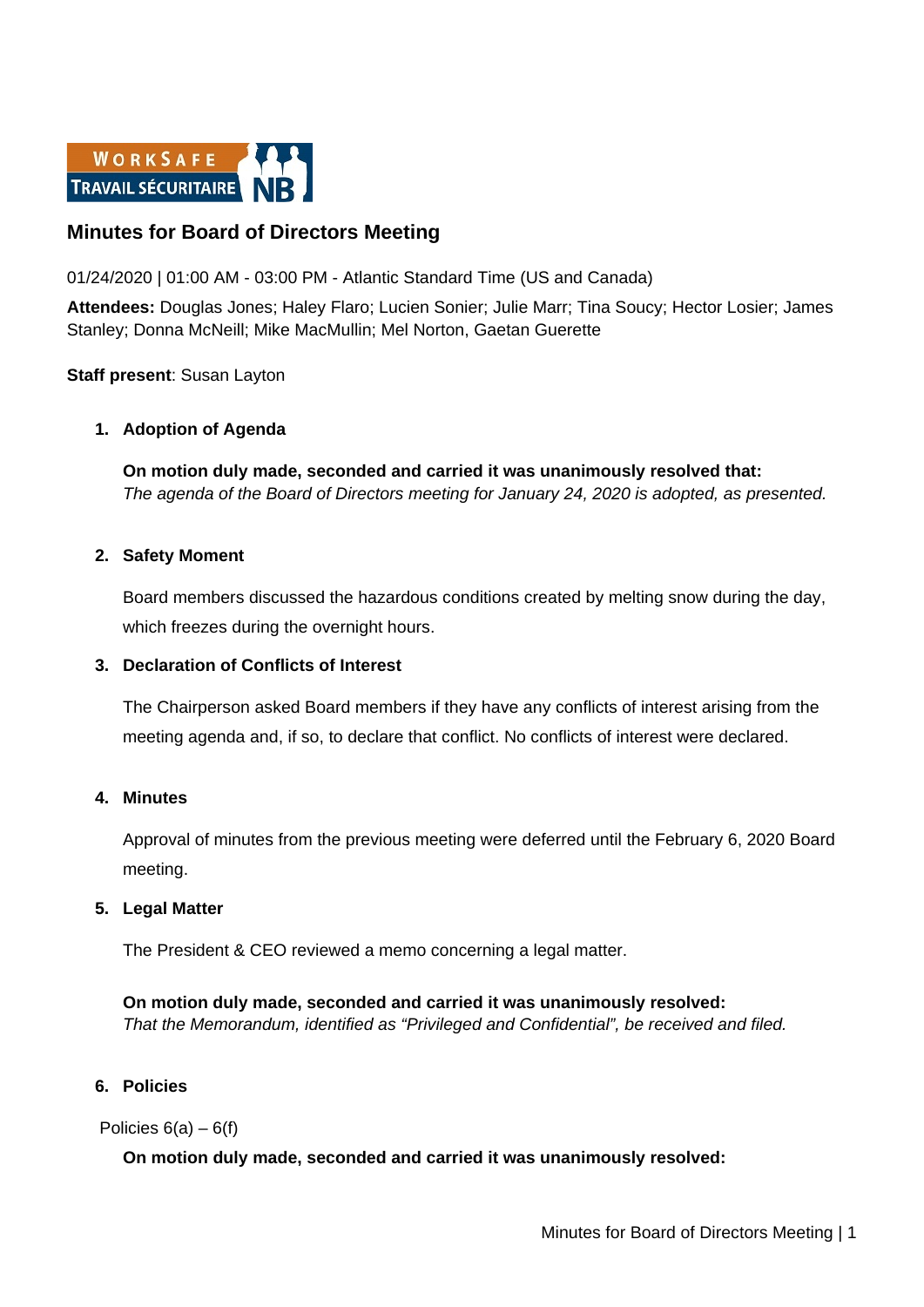

# **Minutes for Board of Directors Meeting**

01/24/2020 | 01:00 AM - 03:00 PM - Atlantic Standard Time (US and Canada)

**Attendees:** Douglas Jones; Haley Flaro; Lucien Sonier; Julie Marr; Tina Soucy; Hector Losier; James Stanley; Donna McNeill; Mike MacMullin; Mel Norton, Gaetan Guerette

## **Staff present**: Susan Layton

### **1. Adoption of Agenda**

**On motion duly made, seconded and carried it was unanimously resolved that:** *The agenda of the Board of Directors meeting for January 24, 2020 is adopted, as presented.*

### **2. Safety Moment**

Board members discussed the hazardous conditions created by melting snow during the day, which freezes during the overnight hours.

### **3. Declaration of Conflicts of Interest**

The Chairperson asked Board members if they have any conflicts of interest arising from the meeting agenda and, if so, to declare that conflict. No conflicts of interest were declared.

### **4. Minutes**

Approval of minutes from the previous meeting were deferred until the February 6, 2020 Board meeting.

### **5. Legal Matter**

The President & CEO reviewed a memo concerning a legal matter.

**On motion duly made, seconded and carried it was unanimously resolved:** *That the Memorandum, identified as "Privileged and Confidential", be received and filed.* 

### **6. Policies**

Policies 6(a) – 6(f)

# **On motion duly made, seconded and carried it was unanimously resolved:**